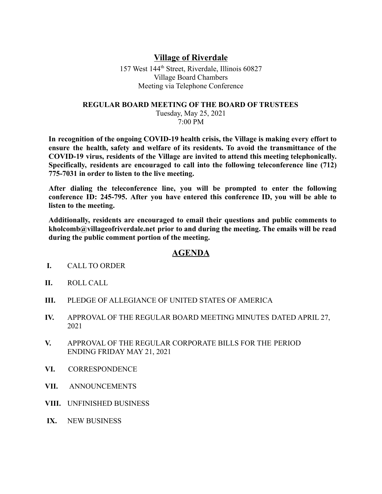## **Village of Riverdale**

157 West 144th Street, Riverdale, Illinois 60827 Village Board Chambers Meeting via Telephone Conference

## **REGULAR BOARD MEETING OF THE BOARD OF TRUSTEES**

Tuesday, May 25, 2021 7:00 PM

**In recognition of the ongoing COVID-19 health crisis, the Village is making every effort to ensure the health, safety and welfare of its residents. To avoid the transmittance of the COVID-19 virus, residents of the Village are invited to attend this meeting telephonically. Specifically, residents are encouraged to call into the following teleconference line (712) 775-7031 in order to listen to the live meeting.**

**After dialing the teleconference line, you will be prompted to enter the following conference ID: 245-795. After you have entered this conference ID, you will be able to listen to the meeting.**

**Additionally, residents are encouraged to email their questions and public comments to kholcomb@villageofriverdale.net prior to and during the meeting. The emails will be read during the public comment portion of the meeting.**

## **AGENDA**

- **I.** CALL TO ORDER
- **II.** ROLL CALL
- **III.** PLEDGE OF ALLEGIANCE OF UNITED STATES OF AMERICA
- **IV.** APPROVAL OF THE REGULAR BOARD MEETING MINUTES DATED APRIL 27, 2021
- **V.** APPROVAL OF THE REGULAR CORPORATE BILLS FOR THE PERIOD ENDING FRIDAY MAY 21, 2021
- **VI.** CORRESPONDENCE
- **VII.** ANNOUNCEMENTS
- **VIII.** UNFINISHED BUSINESS
- **IX.** NEW BUSINESS